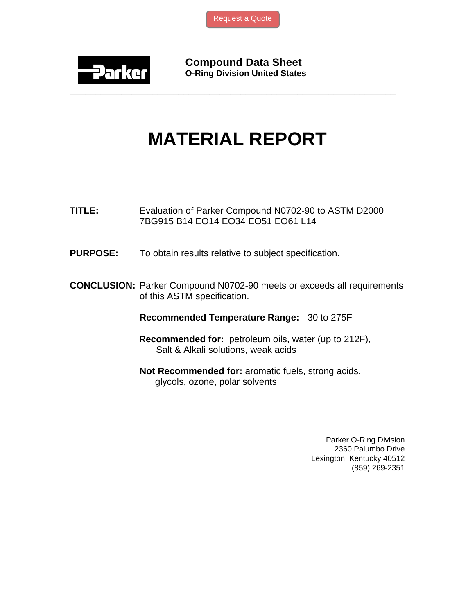[Request a Quote](http://www.marcorubber.com/contact_quote.htm?material=Parker+N0702-90)



**Compound Data Sheet O-Ring Division United States** 

## **MATERIAL REPORT**

**\_\_\_\_\_\_\_\_\_\_\_\_\_\_\_\_\_\_\_\_\_\_\_\_\_\_\_\_\_\_\_\_\_\_\_\_\_\_\_\_\_\_\_\_\_\_\_\_\_\_\_\_\_\_\_\_\_\_\_\_\_\_\_** 

- **TITLE:** Evaluation of Parker Compound N0702-90 to ASTM D2000 7BG915 B14 EO14 EO34 EO51 EO61 L14
- **PURPOSE:** To obtain results relative to subject specification.
- **CONCLUSION:** Parker Compound N0702-90 meets or exceeds all requirements of this ASTM specification.

**Recommended Temperature Range:** -30 to 275F

- **Recommended for:** petroleum oils, water (up to 212F), Salt & Alkali solutions, weak acids
- **Not Recommended for:** aromatic fuels, strong acids, glycols, ozone, polar solvents

Parker O-Ring Division 2360 Palumbo Drive Lexington, Kentucky 40512 (859) 269-2351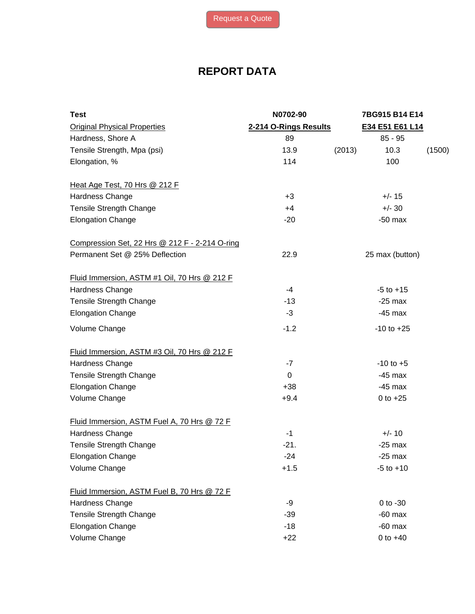## **REPORT DATA**

| <b>Test</b>                                    | N0702-90              |        | 7BG915 B14 E14  |        |
|------------------------------------------------|-----------------------|--------|-----------------|--------|
| <b>Original Physical Properties</b>            | 2-214 O-Rings Results |        | E34 E51 E61 L14 |        |
| Hardness, Shore A                              | 89                    |        | $85 - 95$       |        |
| Tensile Strength, Mpa (psi)                    | 13.9                  | (2013) | 10.3            | (1500) |
| Elongation, %                                  | 114                   |        | 100             |        |
| Heat Age Test, 70 Hrs @ 212 F                  |                       |        |                 |        |
| Hardness Change                                | $+3$                  |        | $+/- 15$        |        |
| <b>Tensile Strength Change</b>                 | $+4$                  |        | $+/- 30$        |        |
| <b>Elongation Change</b>                       | $-20$                 |        | $-50$ max       |        |
| Compression Set, 22 Hrs @ 212 F - 2-214 O-ring |                       |        |                 |        |
| Permanent Set @ 25% Deflection                 | 22.9                  |        | 25 max (button) |        |
| Fluid Immersion, ASTM #1 Oil, 70 Hrs @ 212 F   |                       |        |                 |        |
| Hardness Change                                | $-4$                  |        | $-5$ to $+15$   |        |
| <b>Tensile Strength Change</b>                 | $-13$                 |        | $-25$ max       |        |
| <b>Elongation Change</b>                       | $-3$                  |        | $-45$ max       |        |
| Volume Change                                  | $-1.2$                |        | $-10$ to $+25$  |        |
| Fluid Immersion, ASTM #3 Oil, 70 Hrs @ 212 F   |                       |        |                 |        |
| Hardness Change                                | $-7$                  |        | $-10$ to $+5$   |        |
| <b>Tensile Strength Change</b>                 | $\Omega$              |        | $-45$ max       |        |
| <b>Elongation Change</b>                       | $+38$                 |        | $-45$ max       |        |
| Volume Change                                  | $+9.4$                |        | $0$ to $+25$    |        |
| Fluid Immersion, ASTM Fuel A, 70 Hrs @ 72 F    |                       |        |                 |        |
| Hardness Change                                | $-1$                  |        | $+/- 10$        |        |
| Tensile Strength Change                        | $-21.$                |        | $-25$ max       |        |
| <b>Elongation Change</b>                       | $-24$                 |        | $-25$ max       |        |
| Volume Change                                  | $+1.5$                |        | $-5$ to $+10$   |        |
| Fluid Immersion, ASTM Fuel B, 70 Hrs @ 72 F    |                       |        |                 |        |
| Hardness Change                                | -9                    |        | $0$ to $-30$    |        |
| Tensile Strength Change                        | $-39$                 |        | $-60$ max       |        |
| <b>Elongation Change</b>                       | $-18$                 |        | $-60$ max       |        |
| Volume Change                                  | $+22$                 |        | 0 to $+40$      |        |